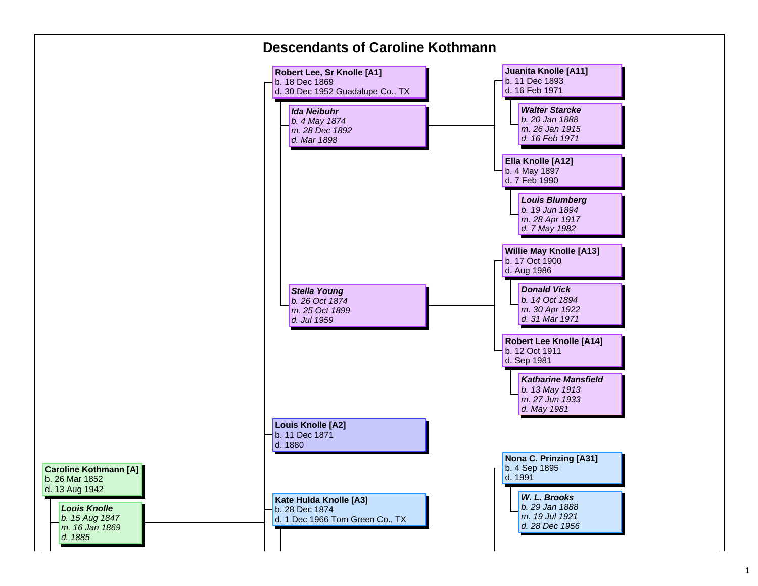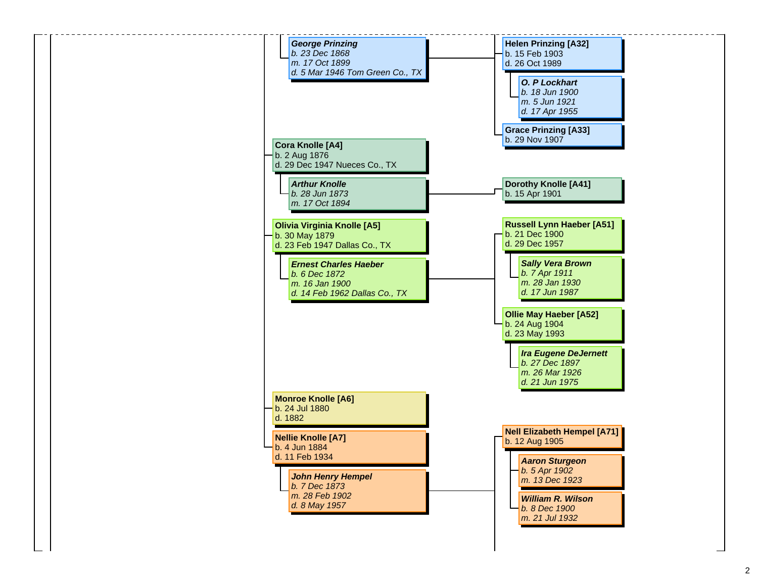